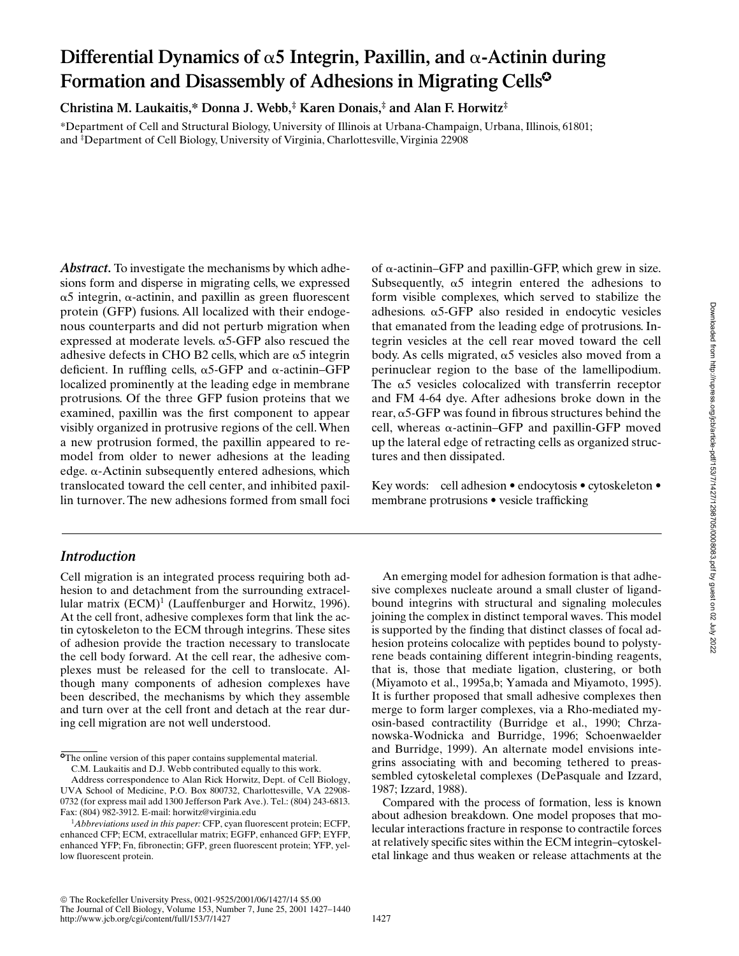# Differential Dynamics of  $\alpha$ 5 Integrin, Paxillin, and  $\alpha$ -Actinin during Formation and Disassembly of Adhesions in Migrating Cells<sup>®</sup>

**Christina M. Laukaitis,\* Donna J. Webb,‡ Karen Donais,‡ and Alan F. Horwitz‡**

\*Department of Cell and Structural Biology, University of Illinois at Urbana-Champaign, Urbana, Illinois, 61801; and ‡ Department of Cell Biology, University of Virginia, Charlottesville, Virginia 22908

*Abstract.* To investigate the mechanisms by which adhesions form and disperse in migrating cells, we expressed  $\alpha$ 5 integrin,  $\alpha$ -actinin, and paxillin as green fluorescent protein (GFP) fusions. All localized with their endogenous counterparts and did not perturb migration when expressed at moderate levels.  $\alpha$ 5-GFP also rescued the adhesive defects in CHO B2 cells, which are  $\alpha$ 5 integrin deficient. In ruffling cells,  $\alpha$ 5-GFP and  $\alpha$ -actinin–GFP localized prominently at the leading edge in membrane protrusions. Of the three GFP fusion proteins that we examined, paxillin was the first component to appear visibly organized in protrusive regions of the cell. When a new protrusion formed, the paxillin appeared to remodel from older to newer adhesions at the leading edge.  $\alpha$ -Actinin subsequently entered adhesions, which translocated toward the cell center, and inhibited paxillin turnover. The new adhesions formed from small foci

## *Introduction*

Cell migration is an integrated process requiring both adhesion to and detachment from the surrounding extracellular matrix (ECM)<sup>1</sup> (Lauffenburger and Horwitz, 1996). At the cell front, adhesive complexes form that link the actin cytoskeleton to the ECM through integrins. These sites of adhesion provide the traction necessary to translocate the cell body forward. At the cell rear, the adhesive complexes must be released for the cell to translocate. Although many components of adhesion complexes have been described, the mechanisms by which they assemble and turn over at the cell front and detach at the rear during cell migration are not well understood.

**The online version of this paper contains supplemental material.** C.M. Laukaitis and D.J. Webb contributed equally to this work.

of  $\alpha$ -actinin–GFP and paxillin-GFP, which grew in size. Subsequently,  $\alpha$ 5 integrin entered the adhesions to form visible complexes, which served to stabilize the adhesions.  $\alpha$ 5-GFP also resided in endocytic vesicles that emanated from the leading edge of protrusions. Integrin vesicles at the cell rear moved toward the cell body. As cells migrated,  $\alpha$ 5 vesicles also moved from a perinuclear region to the base of the lamellipodium. The  $\alpha$ 5 vesicles colocalized with transferrin receptor and FM 4-64 dye. After adhesions broke down in the rear,  $\alpha$ 5-GFP was found in fibrous structures behind the cell, whereas  $\alpha$ -actinin–GFP and paxillin-GFP moved up the lateral edge of retracting cells as organized structures and then dissipated.

Key words: cell adhesion • endocytosis • cytoskeleton • membrane protrusions • vesicle trafficking

An emerging model for adhesion formation is that adhesive complexes nucleate around a small cluster of ligandbound integrins with structural and signaling molecules joining the complex in distinct temporal waves. This model is supported by the finding that distinct classes of focal adhesion proteins colocalize with peptides bound to polystyrene beads containing different integrin-binding reagents, that is, those that mediate ligation, clustering, or both (Miyamoto et al., 1995a,b; Yamada and Miyamoto, 1995). It is further proposed that small adhesive complexes then merge to form larger complexes, via a Rho-mediated myosin-based contractility (Burridge et al., 1990; Chrzanowska-Wodnicka and Burridge, 1996; Schoenwaelder and Burridge, 1999). An alternate model envisions integrins associating with and becoming tethered to preassembled cytoskeletal complexes (DePasquale and Izzard, 1987; Izzard, 1988).

Compared with the process of formation, less is known about adhesion breakdown. One model proposes that molecular interactions fracture in response to contractile forces at relatively specific sites within the ECM integrin–cytoskeletal linkage and thus weaken or release attachments at the

Address correspondence to Alan Rick Horwitz, Dept. of Cell Biology, UVA School of Medicine, P.O. Box 800732, Charlottesville, VA 22908- 0732 (for express mail add 1300 Jefferson Park Ave.). Tel.: (804) 243-6813. Fax: (804) 982-3912. E-mail: horwitz@virginia.edu

<sup>1</sup> *Abbreviations used in this paper:* CFP, cyan fluorescent protein; ECFP, enhanced CFP; ECM, extracellular matrix; EGFP, enhanced GFP; EYFP, enhanced YFP; Fn, fibronectin; GFP, green fluorescent protein; YFP, yellow fluorescent protein.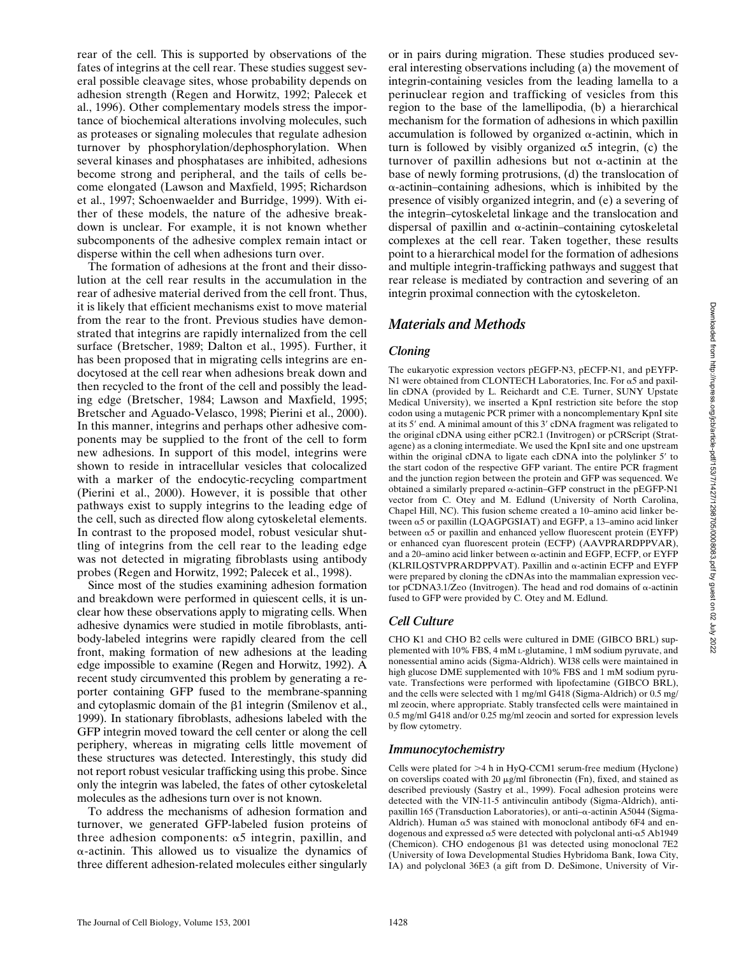rear of the cell. This is supported by observations of the fates of integrins at the cell rear. These studies suggest several possible cleavage sites, whose probability depends on adhesion strength (Regen and Horwitz, 1992; Palecek et al., 1996). Other complementary models stress the importance of biochemical alterations involving molecules, such as proteases or signaling molecules that regulate adhesion turnover by phosphorylation/dephosphorylation. When several kinases and phosphatases are inhibited, adhesions become strong and peripheral, and the tails of cells become elongated (Lawson and Maxfield, 1995; Richardson et al., 1997; Schoenwaelder and Burridge, 1999). With either of these models, the nature of the adhesive breakdown is unclear. For example, it is not known whether subcomponents of the adhesive complex remain intact or disperse within the cell when adhesions turn over.

The formation of adhesions at the front and their dissolution at the cell rear results in the accumulation in the rear of adhesive material derived from the cell front. Thus, it is likely that efficient mechanisms exist to move material from the rear to the front. Previous studies have demonstrated that integrins are rapidly internalized from the cell surface (Bretscher, 1989; Dalton et al., 1995). Further, it has been proposed that in migrating cells integrins are endocytosed at the cell rear when adhesions break down and then recycled to the front of the cell and possibly the leading edge (Bretscher, 1984; Lawson and Maxfield, 1995; Bretscher and Aguado-Velasco, 1998; Pierini et al., 2000). In this manner, integrins and perhaps other adhesive components may be supplied to the front of the cell to form new adhesions. In support of this model, integrins were shown to reside in intracellular vesicles that colocalized with a marker of the endocytic-recycling compartment (Pierini et al., 2000). However, it is possible that other pathways exist to supply integrins to the leading edge of the cell, such as directed flow along cytoskeletal elements. In contrast to the proposed model, robust vesicular shuttling of integrins from the cell rear to the leading edge was not detected in migrating fibroblasts using antibody probes (Regen and Horwitz, 1992; Palecek et al., 1998).

Since most of the studies examining adhesion formation and breakdown were performed in quiescent cells, it is unclear how these observations apply to migrating cells. When adhesive dynamics were studied in motile fibroblasts, antibody-labeled integrins were rapidly cleared from the cell front, making formation of new adhesions at the leading edge impossible to examine (Regen and Horwitz, 1992). A recent study circumvented this problem by generating a reporter containing GFP fused to the membrane-spanning and cytoplasmic domain of the  $\beta$ 1 integrin (Smilenov et al., 1999). In stationary fibroblasts, adhesions labeled with the GFP integrin moved toward the cell center or along the cell periphery, whereas in migrating cells little movement of these structures was detected. Interestingly, this study did not report robust vesicular trafficking using this probe. Since only the integrin was labeled, the fates of other cytoskeletal molecules as the adhesions turn over is not known.

To address the mechanisms of adhesion formation and turnover, we generated GFP-labeled fusion proteins of three adhesion components:  $\alpha$ 5 integrin, paxillin, and  $\alpha$ -actinin. This allowed us to visualize the dynamics of three different adhesion-related molecules either singularly

or in pairs during migration. These studies produced several interesting observations including (a) the movement of integrin-containing vesicles from the leading lamella to a perinuclear region and trafficking of vesicles from this region to the base of the lamellipodia, (b) a hierarchical mechanism for the formation of adhesions in which paxillin accumulation is followed by organized  $\alpha$ -actinin, which in turn is followed by visibly organized  $\alpha$ 5 integrin, (c) the turnover of paxillin adhesions but not  $\alpha$ -actinin at the base of newly forming protrusions, (d) the translocation of  $\alpha$ -actinin–containing adhesions, which is inhibited by the presence of visibly organized integrin, and (e) a severing of the integrin–cytoskeletal linkage and the translocation and dispersal of paxillin and  $\alpha$ -actinin-containing cytoskeletal complexes at the cell rear. Taken together, these results point to a hierarchical model for the formation of adhesions and multiple integrin-trafficking pathways and suggest that rear release is mediated by contraction and severing of an integrin proximal connection with the cytoskeleton.

## *Materials and Methods*

## *Cloning*

The eukaryotic expression vectors pEGFP-N3, pECFP-N1, and pEYFP-N1 were obtained from CLONTECH Laboratories, Inc. For  $\alpha$ 5 and paxillin cDNA (provided by L. Reichardt and C.E. Turner, SUNY Upstate Medical University), we inserted a KpnI restriction site before the stop codon using a mutagenic PCR primer with a noncomplementary KpnI site at its 5' end. A minimal amount of this 3' cDNA fragment was religated to the original cDNA using either pCR2.1 (Invitrogen) or pCRScript (Stratagene) as a cloning intermediate. We used the KpnI site and one upstream within the original cDNA to ligate each cDNA into the polylinker 5' to the start codon of the respective GFP variant. The entire PCR fragment and the junction region between the protein and GFP was sequenced. We obtained a similarly prepared  $\alpha$ -actinin–GFP construct in the pEGFP-N1 vector from C. Otey and M. Edlund (University of North Carolina, Chapel Hill, NC). This fusion scheme created a 10–amino acid linker between  $\alpha$ 5 or paxillin (LQAGPGSIAT) and EGFP, a 13–amino acid linker between  $\alpha$ 5 or paxillin and enhanced yellow fluorescent protein (EYFP) or enhanced cyan fluorescent protein (ECFP) (AAVPRARDPPVAR), and a 20–amino acid linker between  $\alpha$ -actinin and EGFP, ECFP, or EYFP  $(KLRILOSTVPRARDPPVAT)$ . Paxillin and  $\alpha$ -actinin ECFP and EYFP were prepared by cloning the cDNAs into the mammalian expression vector pCDNA3.1/Zeo (Invitrogen). The head and rod domains of  $\alpha$ -actinin fused to GFP were provided by C. Otey and M. Edlund.

## *Cell Culture*

CHO K1 and CHO B2 cells were cultured in DME (GIBCO BRL) supplemented with 10% FBS, 4 mM L-glutamine, 1 mM sodium pyruvate, and nonessential amino acids (Sigma-Aldrich). WI38 cells were maintained in high glucose DME supplemented with 10% FBS and 1 mM sodium pyruvate. Transfections were performed with lipofectamine (GIBCO BRL), and the cells were selected with 1 mg/ml G418 (Sigma-Aldrich) or 0.5 mg/ ml zeocin, where appropriate. Stably transfected cells were maintained in 0.5 mg/ml G418 and/or 0.25 mg/ml zeocin and sorted for expression levels by flow cytometry.

### *Immunocytochemistry*

Cells were plated for  $>4$  h in HyQ-CCM1 serum-free medium (Hyclone) on coverslips coated with 20  $\mu$ g/ml fibronectin (Fn), fixed, and stained as described previously (Sastry et al., 1999). Focal adhesion proteins were detected with the VIN-11-5 antivinculin antibody (Sigma-Aldrich), antipaxillin 165 (Transduction Laboratories), or anti-α-actinin A5044 (Sigma-Aldrich). Human  $\alpha$ 5 was stained with monoclonal antibody 6F4 and endogenous and expressed  $\alpha$ 5 were detected with polyclonal anti- $\alpha$ 5 Ab1949 (Chemicon). CHO endogenous  $\beta$ 1 was detected using monoclonal 7E2 (University of Iowa Developmental Studies Hybridoma Bank, Iowa City, IA) and polyclonal 36E3 (a gift from D. DeSimone, University of Vir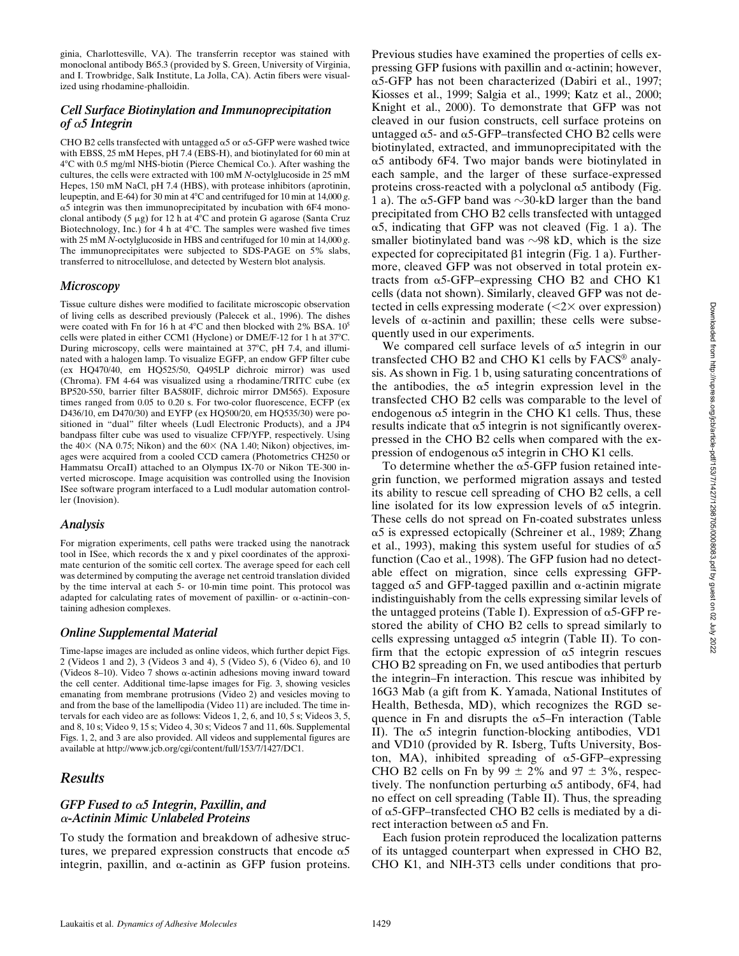ginia, Charlottesville, VA). The transferrin receptor was stained with monoclonal antibody B65.3 (provided by S. Green, University of Virginia, and I. Trowbridge, Salk Institute, La Jolla, CA). Actin fibers were visualized using rhodamine-phalloidin.

## *Cell Surface Biotinylation and Immunoprecipitation*  of α5 Integrin

CHO B2 cells transfected with untagged  $\alpha$ 5 or  $\alpha$ 5-GFP were washed twice with EBSS, 25 mM Hepes, pH 7.4 (EBS-H), and biotinylated for 60 min at 4C with 0.5 mg/ml NHS-biotin (Pierce Chemical Co.). After washing the cultures, the cells were extracted with 100 mM *N*-octylglucoside in 25 mM Hepes, 150 mM NaCl, pH 7.4 (HBS), with protease inhibitors (aprotinin, leupeptin, and E-64) for 30 min at 4C and centrifuged for 10 min at 14,000 *g*. α5 integrin was then immunoprecipitated by incubation with 6F4 monoclonal antibody (5  $\mu$ g) for 12 h at 4°C and protein G agarose (Santa Cruz Biotechnology, Inc.) for 4 h at  $4^{\circ}$ C. The samples were washed five times with 25 mM *N*-octylglucoside in HBS and centrifuged for 10 min at 14,000 *g*. The immunoprecipitates were subjected to SDS-PAGE on 5% slabs, transferred to nitrocellulose, and detected by Western blot analysis.

### *Microscopy*

Tissue culture dishes were modified to facilitate microscopic observation of living cells as described previously (Palecek et al., 1996). The dishes were coated with Fn for 16 h at  $4^{\circ}$ C and then blocked with 2% BSA.  $10^5$ cells were plated in either CCM1 (Hyclone) or DME/F-12 for 1 h at 37°C. During microscopy, cells were maintained at 37°C, pH 7.4, and illuminated with a halogen lamp. To visualize EGFP, an endow GFP filter cube (ex HQ470/40, em HQ525/50, Q495LP dichroic mirror) was used (Chroma). FM 4-64 was visualized using a rhodamine/TRITC cube (ex BP520-550, barrier filter BA580IF, dichroic mirror DM565). Exposure times ranged from 0.05 to 0.20 s. For two-color fluorescence, ECFP (ex D436/10, em D470/30) and EYFP (ex HQ500/20, em HQ535/30) were positioned in "dual" filter wheels (Ludl Electronic Products), and a JP4 bandpass filter cube was used to visualize CFP/YFP, respectively. Using the  $40 \times$  (NA 0.75; Nikon) and the  $60 \times$  (NA 1.40; Nikon) objectives, images were acquired from a cooled CCD camera (Photometrics CH250 or Hammatsu OrcaII) attached to an Olympus IX-70 or Nikon TE-300 inverted microscope. Image acquisition was controlled using the Inovision ISee software program interfaced to a Ludl modular automation controller (Inovision).

#### *Analysis*

For migration experiments, cell paths were tracked using the nanotrack tool in ISee, which records the x and y pixel coordinates of the approximate centurion of the somitic cell cortex. The average speed for each cell was determined by computing the average net centroid translation divided by the time interval at each 5- or 10-min time point. This protocol was adapted for calculating rates of movement of paxillin- or  $\alpha$ -actinin-containing adhesion complexes.

#### *Online Supplemental Material*

Time-lapse images are included as online videos, which further depict Figs. 2 (Videos 1 and 2), 3 (Videos 3 and 4), 5 (Video 5), 6 (Video 6), and 10 (Videos 8–10). Video 7 shows  $\alpha$ -actinin adhesions moving inward toward the cell center. Additional time-lapse images for Fig. 3, showing vesicles emanating from membrane protrusions (Video 2) and vesicles moving to and from the base of the lamellipodia (Video 11) are included. The time intervals for each video are as follows: Videos 1, 2, 6, and 10, 5 s; Videos 3, 5, and 8, 10 s; Video 9, 15 s; Video 4, 30 s; Videos 7 and 11, 60s. Supplemental Figs. 1, 2, and 3 are also provided. All videos and supplemental figures are available at http://www.jcb.org/cgi/content/full/153/7/1427/DC1.

## *Results*

### GFP Fused to  $α5$  Integrin, Paxillin, and -*-Actinin Mimic Unlabeled Proteins*

To study the formation and breakdown of adhesive structures, we prepared expression constructs that encode  $\alpha$ 5 integrin, paxillin, and  $\alpha$ -actinin as GFP fusion proteins.

Previous studies have examined the properties of cells expressing GFP fusions with paxillin and  $\alpha$ -actinin; however, -5-GFP has not been characterized (Dabiri et al., 1997; Kiosses et al., 1999; Salgia et al., 1999; Katz et al., 2000; Knight et al., 2000). To demonstrate that GFP was not cleaved in our fusion constructs, cell surface proteins on untagged  $\alpha$ 5- and  $\alpha$ 5-GFP–transfected CHO B2 cells were biotinylated, extracted, and immunoprecipitated with the  $\alpha$ 5 antibody 6F4. Two major bands were biotinylated in each sample, and the larger of these surface-expressed proteins cross-reacted with a polyclonal  $\alpha$ 5 antibody (Fig. 1 a). The  $\alpha$ 5-GFP band was  $\sim$ 30-kD larger than the band precipitated from CHO B2 cells transfected with untagged  $\alpha$ 5, indicating that GFP was not cleaved (Fig. 1 a). The smaller biotinylated band was  $\sim$ 98 kD, which is the size expected for coprecipitated  $\beta$ 1 integrin (Fig. 1 a). Furthermore, cleaved GFP was not observed in total protein extracts from  $\alpha$ 5-GFP–expressing CHO B2 and CHO K1 cells (data not shown). Similarly, cleaved GFP was not detected in cells expressing moderate  $(\leq 2 \times$  over expression) levels of  $\alpha$ -actinin and paxillin; these cells were subsequently used in our experiments.

We compared cell surface levels of  $\alpha$ 5 integrin in our transfected CHO B2 and CHO K1 cells by FACS® analysis. As shown in Fig. 1 b, using saturating concentrations of the antibodies, the  $\alpha$ 5 integrin expression level in the transfected CHO B2 cells was comparable to the level of endogenous  $\alpha$ 5 integrin in the CHO K1 cells. Thus, these results indicate that  $\alpha$ 5 integrin is not significantly overexpressed in the CHO B2 cells when compared with the expression of endogenous  $\alpha$ 5 integrin in CHO K1 cells.

To determine whether the  $\alpha$ 5-GFP fusion retained integrin function, we performed migration assays and tested its ability to rescue cell spreading of CHO B2 cells, a cell line isolated for its low expression levels of  $\alpha$ 5 integrin. These cells do not spread on Fn-coated substrates unless α5 is expressed ectopically (Schreiner et al., 1989; Zhang et al., 1993), making this system useful for studies of  $\alpha$ 5 function (Cao et al., 1998). The GFP fusion had no detectable effect on migration, since cells expressing GFPtagged  $\alpha$ 5 and GFP-tagged paxillin and  $\alpha$ -actinin migrate indistinguishably from the cells expressing similar levels of the untagged proteins (Table I). Expression of  $\alpha$ 5-GFP restored the ability of CHO B2 cells to spread similarly to cells expressing untagged  $\alpha$ 5 integrin (Table II). To confirm that the ectopic expression of  $\alpha$ 5 integrin rescues CHO B2 spreading on Fn, we used antibodies that perturb the integrin–Fn interaction. This rescue was inhibited by 16G3 Mab (a gift from K. Yamada, National Institutes of Health, Bethesda, MD), which recognizes the RGD sequence in Fn and disrupts the  $\alpha$ 5–Fn interaction (Table II). The  $\alpha$ 5 integrin function-blocking antibodies, VD1 and VD10 (provided by R. Isberg, Tufts University, Boston, MA), inhibited spreading of  $\alpha$ 5-GFP–expressing CHO B2 cells on Fn by  $99 \pm 2\%$  and  $97 \pm 3\%$ , respectively. The nonfunction perturbing  $\alpha$ 5 antibody, 6F4, had no effect on cell spreading (Table II). Thus, the spreading of  $\alpha$ 5-GFP-transfected CHO B2 cells is mediated by a direct interaction between  $\alpha$ 5 and Fn.

Each fusion protein reproduced the localization patterns of its untagged counterpart when expressed in CHO B2, CHO K1, and NIH-3T3 cells under conditions that pro-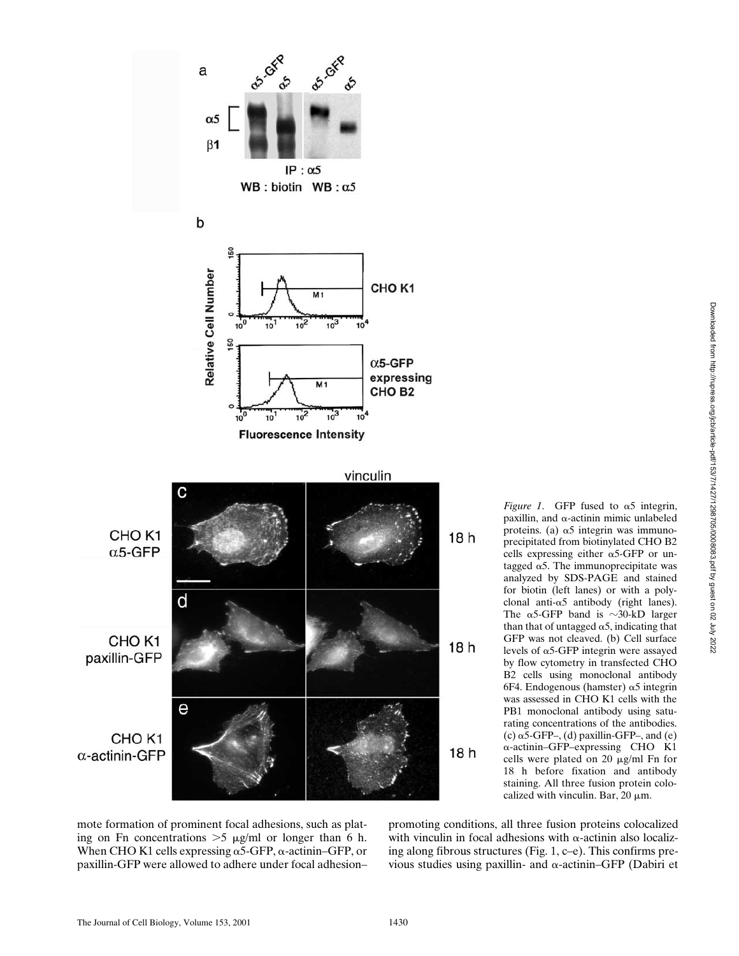

*Figure 1.* GFP fused to  $\alpha$ 5 integrin, paxillin, and  $\alpha$ -actinin mimic unlabeled proteins. (a)  $\alpha$ 5 integrin was immunoprecipitated from biotinylated CHO B2 cells expressing either  $\alpha$ 5-GFP or untagged  $\alpha$ 5. The immunoprecipitate was analyzed by SDS-PAGE and stained for biotin (left lanes) or with a polyclonal anti- $\alpha$ 5 antibody (right lanes). The  $\alpha$ 5-GFP band is  $\sim$ 30-kD larger than that of untagged  $\alpha$ 5, indicating that GFP was not cleaved. (b) Cell surface levels of  $\alpha$ 5-GFP integrin were assayed by flow cytometry in transfected CHO B2 cells using monoclonal antibody 6F4. Endogenous (hamster)  $\alpha$ 5 integrin was assessed in CHO K1 cells with the PB1 monoclonal antibody using saturating concentrations of the antibodies. (c)  $\alpha$ 5-GFP–, (d) paxillin-GFP–, and (e) --actinin–GFP–expressing CHO K1 cells were plated on 20  $\mu$ g/ml Fn for 18 h before fixation and antibody staining. All three fusion protein colocalized with vinculin. Bar, 20  $\mu$ m.

mote formation of prominent focal adhesions, such as plating on Fn concentrations  $>5 \mu g/ml$  or longer than 6 h. When CHO K1 cells expressing  $\alpha$ 5-GFP,  $\alpha$ -actinin–GFP, or paxillin-GFP were allowed to adhere under focal adhesion–

promoting conditions, all three fusion proteins colocalized with vinculin in focal adhesions with  $\alpha$ -actinin also localizing along fibrous structures (Fig. 1, c–e). This confirms previous studies using paxillin- and  $\alpha$ -actinin–GFP (Dabiri et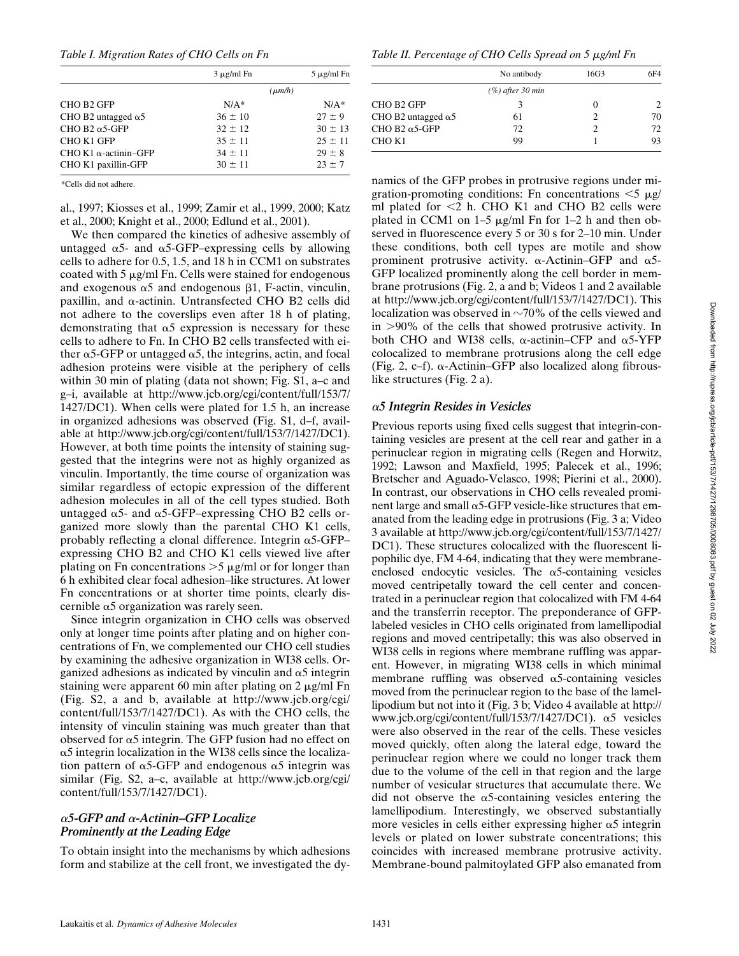*Table I. Migration Rates of CHO Cells on Fn*

|                                   | $3 \mu$ g/ml Fn | $5 \mu$ g/ml Fn |
|-----------------------------------|-----------------|-----------------|
|                                   | $(\mu m/h)$     |                 |
| CHO B <sub>2</sub> GFP            | $N/A^*$         | $N/A*$          |
| CHO B2 untagged $\alpha$ 5        | $36 \pm 10$     | $27 \pm 9$      |
| CHO B <sub>2</sub> $\alpha$ 5-GFP | $32 \pm 12$     | $30 \pm 13$     |
| CHO K1 GFP                        | $35 \pm 11$     | $25 \pm 11$     |
| CHO K1 $\alpha$ -actinin-GFP      | $34 \pm 11$     | $29 \pm 8$      |
| CHO K1 paxillin-GFP               | $30 \pm 11$     | $23 \pm 7$      |
|                                   |                 |                 |

\*Cells did not adhere.

al., 1997; Kiosses et al., 1999; Zamir et al., 1999, 2000; Katz et al., 2000; Knight et al., 2000; Edlund et al., 2001).

We then compared the kinetics of adhesive assembly of untagged  $\alpha$ 5- and  $\alpha$ 5-GFP–expressing cells by allowing cells to adhere for 0.5, 1.5, and 18 h in CCM1 on substrates coated with  $5 \mu g/ml$  Fn. Cells were stained for endogenous and exogenous  $\alpha$ 5 and endogenous  $\beta$ 1, F-actin, vinculin, paxillin, and  $\alpha$ -actinin. Untransfected CHO B2 cells did not adhere to the coverslips even after 18 h of plating, demonstrating that  $\alpha$ 5 expression is necessary for these cells to adhere to Fn. In CHO B2 cells transfected with either  $\alpha$ 5-GFP or untagged  $\alpha$ 5, the integrins, actin, and focal adhesion proteins were visible at the periphery of cells within 30 min of plating (data not shown; Fig. S1, a–c and g–i, available at http://www.jcb.org/cgi/content/full/153/7/ 1427/DC1). When cells were plated for 1.5 h, an increase in organized adhesions was observed (Fig. S1, d–f, available at http://www.jcb.org/cgi/content/full/153/7/1427/DC1). However, at both time points the intensity of staining suggested that the integrins were not as highly organized as vinculin. Importantly, the time course of organization was similar regardless of ectopic expression of the different adhesion molecules in all of the cell types studied. Both untagged  $\alpha$ 5- and  $\alpha$ 5-GFP–expressing CHO B2 cells organized more slowly than the parental CHO K1 cells, probably reflecting a clonal difference. Integrin  $\alpha$ 5-GFPexpressing CHO B2 and CHO K1 cells viewed live after plating on Fn concentrations  $>5 \mu g/ml$  or for longer than 6 h exhibited clear focal adhesion–like structures. At lower Fn concentrations or at shorter time points, clearly discernible  $\alpha$ 5 organization was rarely seen.

Since integrin organization in CHO cells was observed only at longer time points after plating and on higher concentrations of Fn, we complemented our CHO cell studies by examining the adhesive organization in WI38 cells. Organized adhesions as indicated by vinculin and  $\alpha$ 5 integrin staining were apparent 60 min after plating on  $2 \mu g/ml$  Fn (Fig. S2, a and b, available at http://www.jcb.org/cgi/ content/full/153/7/1427/DC1). As with the CHO cells, the intensity of vinculin staining was much greater than that observed for  $\alpha$ 5 integrin. The GFP fusion had no effect on  $\alpha$ 5 integrin localization in the WI38 cells since the localization pattern of  $\alpha$ 5-GFP and endogenous  $\alpha$ 5 integrin was similar (Fig. S2, a–c, available at http://www.jcb.org/cgi/ content/full/153/7/1427/DC1).

## -*5-GFP and* -*-Actinin–GFP Localize Prominently at the Leading Edge*

To obtain insight into the mechanisms by which adhesions form and stabilize at the cell front, we investigated the dy-

*Table II. Percentage of CHO Cells Spread on 5*  $\mu$ *g/ml Fn* 

|                                   | No antibody         | 16G3 | 6F4 |
|-----------------------------------|---------------------|------|-----|
|                                   | $(\%)$ after 30 min |      |     |
| CHO B <sub>2</sub> GFP            | 3                   |      |     |
| CHO B2 untagged $\alpha$ 5        | 61                  |      | 70  |
| CHO B <sub>2</sub> $\alpha$ 5-GFP | 72                  |      | 72  |
| CHO K1                            | 99                  |      | 93  |

namics of the GFP probes in protrusive regions under migration-promoting conditions: Fn concentrations  $\leq 5 \mu g$ / ml plated for  $\leq$ 2 h. CHO K1 and CHO B2 cells were plated in CCM1 on  $1-5 \mu g/ml$  Fn for  $1-2$  h and then observed in fluorescence every 5 or 30 s for 2–10 min. Under these conditions, both cell types are motile and show prominent protrusive activity.  $\alpha$ -Actinin–GFP and  $\alpha$ 5-GFP localized prominently along the cell border in membrane protrusions (Fig. 2, a and b; Videos 1 and 2 available at http://www.jcb.org/cgi/content/full/153/7/1427/DC1). This localization was observed in  $\sim70\%$  of the cells viewed and in 90% of the cells that showed protrusive activity. In both CHO and WI38 cells,  $\alpha$ -actinin–CFP and  $\alpha$ 5-YFP colocalized to membrane protrusions along the cell edge (Fig. 2, c-f).  $\alpha$ -Actinin–GFP also localized along fibrouslike structures (Fig. 2 a).

## -*5 Integrin Resides in Vesicles*

Previous reports using fixed cells suggest that integrin-containing vesicles are present at the cell rear and gather in a perinuclear region in migrating cells (Regen and Horwitz, 1992; Lawson and Maxfield, 1995; Palecek et al., 1996; Bretscher and Aguado-Velasco, 1998; Pierini et al., 2000). In contrast, our observations in CHO cells revealed prominent large and small  $\alpha$ 5-GFP vesicle-like structures that emanated from the leading edge in protrusions (Fig. 3 a; Video 3 available at http://www.jcb.org/cgi/content/full/153/7/1427/ DC1). These structures colocalized with the fluorescent lipophilic dye, FM 4-64, indicating that they were membraneenclosed endocytic vesicles. The  $\alpha$ 5-containing vesicles moved centripetally toward the cell center and concentrated in a perinuclear region that colocalized with FM 4-64 and the transferrin receptor. The preponderance of GFPlabeled vesicles in CHO cells originated from lamellipodial regions and moved centripetally; this was also observed in WI38 cells in regions where membrane ruffling was apparent. However, in migrating WI38 cells in which minimal membrane ruffling was observed  $\alpha$ 5-containing vesicles moved from the perinuclear region to the base of the lamellipodium but not into it (Fig. 3 b; Video 4 available at http:// www.jcb.org/cgi/content/full/153/7/1427/DC1). α5 vesicles were also observed in the rear of the cells. These vesicles moved quickly, often along the lateral edge, toward the perinuclear region where we could no longer track them due to the volume of the cell in that region and the large number of vesicular structures that accumulate there. We did not observe the  $\alpha$ 5-containing vesicles entering the lamellipodium. Interestingly, we observed substantially more vesicles in cells either expressing higher  $\alpha$ 5 integrin levels or plated on lower substrate concentrations; this coincides with increased membrane protrusive activity. Membrane-bound palmitoylated GFP also emanated from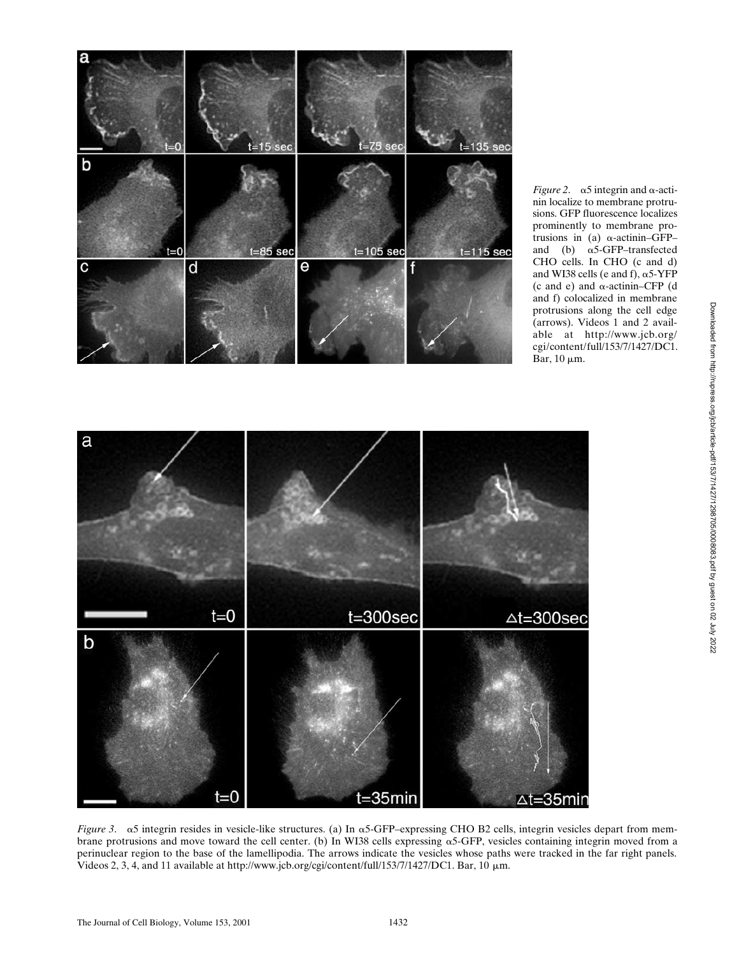

*Figure 2.*  $\alpha$ 5 integrin and  $\alpha$ -actinin localize to membrane protrusions. GFP fluorescence localizes prominently to membrane protrusions in (a)  $\alpha$ -actinin–GFP– and (b)  $\alpha$ 5-GFP–transfected CHO cells. In CHO (c and d) and WI38 cells (e and f),  $\alpha$ 5-YFP  $(c \text{ and } e)$  and  $\alpha$ -actinin–CFP  $(d \cdot$ and f) colocalized in membrane protrusions along the cell edge (arrows). Videos 1 and 2 available at http://www.jcb.org/ cgi/content/full/153/7/1427/DC1. Bar,  $10 \mu m$ .



*Figure 3.*  $\alpha$ 5 integrin resides in vesicle-like structures. (a) In  $\alpha$ 5-GFP–expressing CHO B2 cells, integrin vesicles depart from membrane protrusions and move toward the cell center. (b) In WI38 cells expressing  $\alpha$ 5-GFP, vesicles containing integrin moved from a perinuclear region to the base of the lamellipodia. The arrows indicate the vesicles whose paths were tracked in the far right panels. Videos 2, 3, 4, and 11 available at http://www.jcb.org/cgi/content/full/153/7/1427/DC1. Bar, 10  $\mu$ m.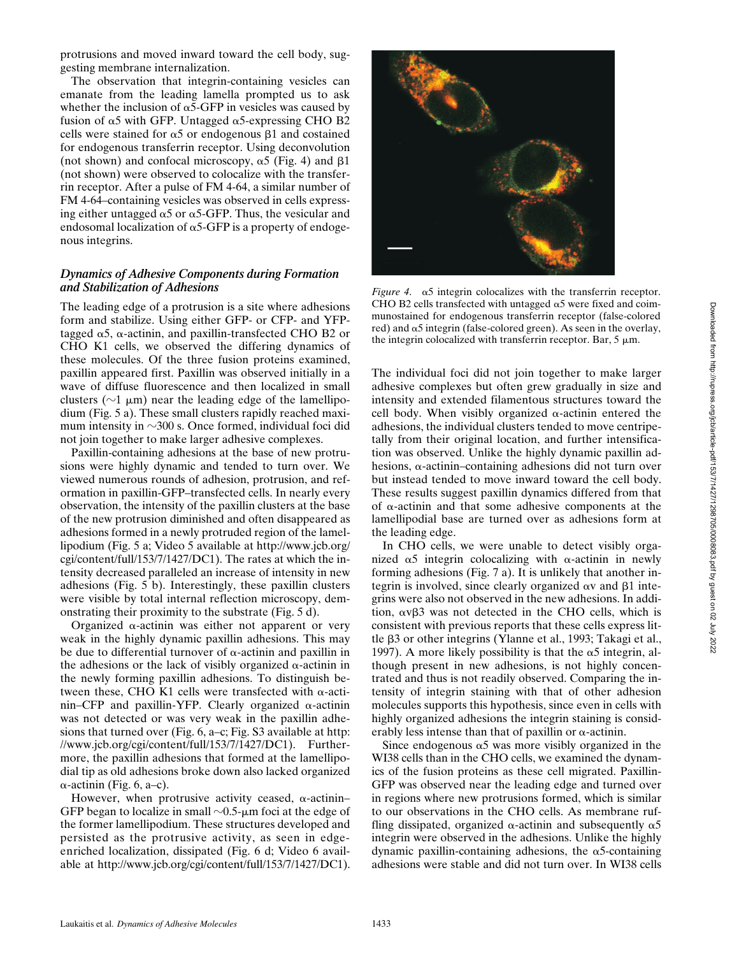protrusions and moved inward toward the cell body, suggesting membrane internalization.

The observation that integrin-containing vesicles can emanate from the leading lamella prompted us to ask whether the inclusion of  $\alpha$ 5-GFP in vesicles was caused by fusion of  $\alpha$ 5 with GFP. Untagged  $\alpha$ 5-expressing CHO B2 cells were stained for  $\alpha$ 5 or endogenous  $\beta$ 1 and costained for endogenous transferrin receptor. Using deconvolution (not shown) and confocal microscopy,  $\alpha$ 5 (Fig. 4) and  $\beta$ 1 (not shown) were observed to colocalize with the transferrin receptor. After a pulse of FM 4-64, a similar number of FM 4-64–containing vesicles was observed in cells expressing either untagged  $\alpha$ 5 or  $\alpha$ 5-GFP. Thus, the vesicular and endosomal localization of  $\alpha$ 5-GFP is a property of endogenous integrins.

### *Dynamics of Adhesive Components during Formation and Stabilization of Adhesions*

The leading edge of a protrusion is a site where adhesions form and stabilize. Using either GFP- or CFP- and YFPtagged  $\alpha$ 5,  $\alpha$ -actinin, and paxillin-transfected CHO B2 or CHO K1 cells, we observed the differing dynamics of these molecules. Of the three fusion proteins examined, paxillin appeared first. Paxillin was observed initially in a wave of diffuse fluorescence and then localized in small clusters ( $\sim$ 1  $\mu$ m) near the leading edge of the lamellipodium (Fig. 5 a). These small clusters rapidly reached maximum intensity in  $\sim$ 300 s. Once formed, individual foci did not join together to make larger adhesive complexes.

Paxillin-containing adhesions at the base of new protrusions were highly dynamic and tended to turn over. We viewed numerous rounds of adhesion, protrusion, and reformation in paxillin-GFP–transfected cells. In nearly every observation, the intensity of the paxillin clusters at the base of the new protrusion diminished and often disappeared as adhesions formed in a newly protruded region of the lamellipodium (Fig. 5 a; Video 5 available at http://www.jcb.org/ cgi/content/full/153/7/1427/DC1). The rates at which the intensity decreased paralleled an increase of intensity in new adhesions (Fig. 5 b). Interestingly, these paxillin clusters were visible by total internal reflection microscopy, demonstrating their proximity to the substrate (Fig. 5 d).

Organized  $\alpha$ -actinin was either not apparent or very weak in the highly dynamic paxillin adhesions. This may be due to differential turnover of  $\alpha$ -actinin and paxillin in the adhesions or the lack of visibly organized  $\alpha$ -actinin in the newly forming paxillin adhesions. To distinguish between these, CHO K1 cells were transfected with  $\alpha$ -actinin–CFP and paxillin-YFP. Clearly organized  $\alpha$ -actinin was not detected or was very weak in the paxillin adhesions that turned over (Fig. 6, a–c; Fig. S3 available at http: //www.jcb.org/cgi/content/full/153/7/1427/DC1). Furthermore, the paxillin adhesions that formed at the lamellipodial tip as old adhesions broke down also lacked organized --actinin (Fig. 6, a–c).

However, when protrusive activity ceased,  $\alpha$ -actinin-GFP began to localize in small  $\sim$ 0.5- $\mu$ m foci at the edge of the former lamellipodium. These structures developed and persisted as the protrusive activity, as seen in edgeenriched localization, dissipated (Fig. 6 d; Video 6 available at http://www.jcb.org/cgi/content/full/153/7/1427/DC1).



*Figure 4.*  $\alpha$ 5 integrin colocalizes with the transferrin receptor. CHO B2 cells transfected with untagged  $\alpha$ 5 were fixed and coimmunostained for endogenous transferrin receptor (false-colored red) and  $\alpha$ 5 integrin (false-colored green). As seen in the overlay, the integrin colocalized with transferrin receptor. Bar,  $5 \mu m$ .

The individual foci did not join together to make larger adhesive complexes but often grew gradually in size and intensity and extended filamentous structures toward the cell body. When visibly organized  $\alpha$ -actinin entered the adhesions, the individual clusters tended to move centripetally from their original location, and further intensification was observed. Unlike the highly dynamic paxillin adhesions,  $\alpha$ -actinin–containing adhesions did not turn over but instead tended to move inward toward the cell body. These results suggest paxillin dynamics differed from that of  $\alpha$ -actinin and that some adhesive components at the lamellipodial base are turned over as adhesions form at the leading edge.

In CHO cells, we were unable to detect visibly organized  $\alpha$ 5 integrin colocalizing with  $\alpha$ -actinin in newly forming adhesions (Fig. 7 a). It is unlikely that another integrin is involved, since clearly organized  $\alpha v$  and  $\beta 1$  integrins were also not observed in the new adhesions. In addition,  $\alpha v\beta$ 3 was not detected in the CHO cells, which is consistent with previous reports that these cells express little  $\beta$ 3 or other integrins (Ylanne et al., 1993; Takagi et al., 1997). A more likely possibility is that the  $\alpha$ 5 integrin, although present in new adhesions, is not highly concentrated and thus is not readily observed. Comparing the intensity of integrin staining with that of other adhesion molecules supports this hypothesis, since even in cells with highly organized adhesions the integrin staining is considerably less intense than that of paxillin or  $\alpha$ -actinin.

Since endogenous  $\alpha$ 5 was more visibly organized in the WI38 cells than in the CHO cells, we examined the dynamics of the fusion proteins as these cell migrated. Paxillin-GFP was observed near the leading edge and turned over in regions where new protrusions formed, which is similar to our observations in the CHO cells. As membrane ruffling dissipated, organized  $\alpha$ -actinin and subsequently  $\alpha$ 5 integrin were observed in the adhesions. Unlike the highly dynamic paxillin-containing adhesions, the  $\alpha$ 5-containing adhesions were stable and did not turn over. In WI38 cells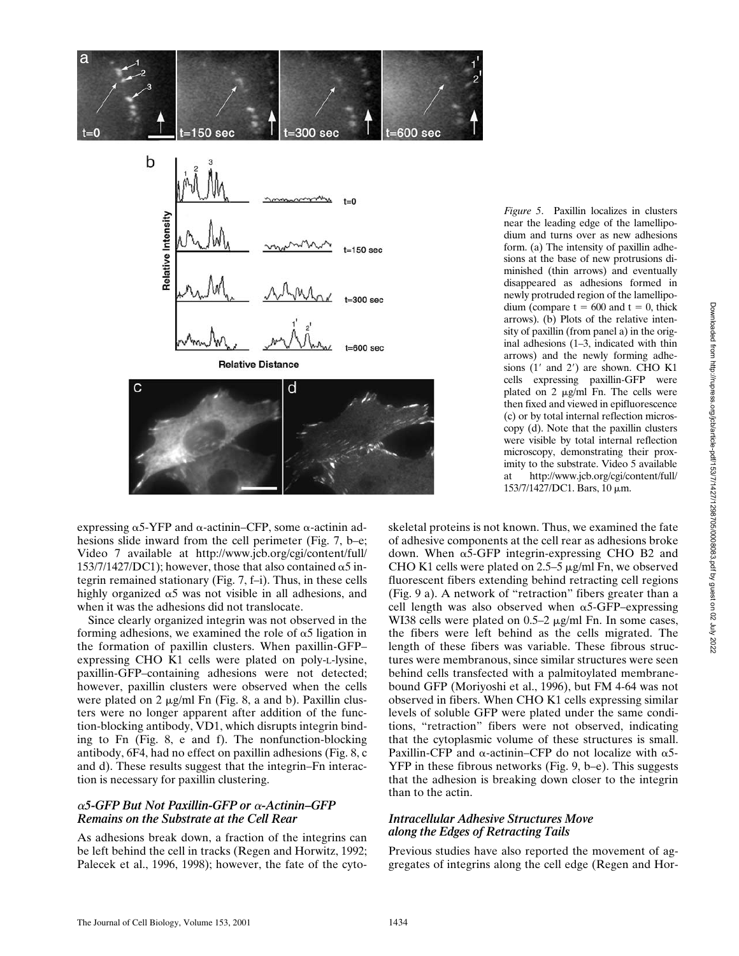

a



expressing  $\alpha$ 5-YFP and  $\alpha$ -actinin–CFP, some  $\alpha$ -actinin adhesions slide inward from the cell perimeter (Fig. 7, b–e; Video 7 available at http://www.jcb.org/cgi/content/full/ 153/7/1427/DC1); however, those that also contained  $\alpha$ 5 integrin remained stationary (Fig. 7, f–i). Thus, in these cells highly organized  $\alpha$ 5 was not visible in all adhesions, and when it was the adhesions did not translocate.

Since clearly organized integrin was not observed in the forming adhesions, we examined the role of  $\alpha$ 5 ligation in the formation of paxillin clusters. When paxillin-GFP– expressing CHO K1 cells were plated on poly-L-lysine, paxillin-GFP–containing adhesions were not detected; however, paxillin clusters were observed when the cells were plated on 2  $\mu$ g/ml Fn (Fig. 8, a and b). Paxillin clusters were no longer apparent after addition of the function-blocking antibody, VD1, which disrupts integrin binding to Fn (Fig. 8, e and f). The nonfunction-blocking antibody, 6F4, had no effect on paxillin adhesions (Fig. 8, c and d). These results suggest that the integrin–Fn interaction is necessary for paxillin clustering.

### $\alpha$ 5-GFP But Not Paxillin-GFP or  $\alpha$ -Actinin–GFP *Remains on the Substrate at the Cell Rear*

As adhesions break down, a fraction of the integrins can be left behind the cell in tracks (Regen and Horwitz, 1992; Palecek et al., 1996, 1998); however, the fate of the cyto-

*Figure 5*. Paxillin localizes in clusters near the leading edge of the lamellipodium and turns over as new adhesions form. (a) The intensity of paxillin adhesions at the base of new protrusions diminished (thin arrows) and eventually disappeared as adhesions formed in newly protruded region of the lamellipodium (compare  $t = 600$  and  $t = 0$ , thick arrows). (b) Plots of the relative intensity of paxillin (from panel a) in the original adhesions (1–3, indicated with thin arrows) and the newly forming adhesions  $(1'$  and  $2')$  are shown. CHO K1 cells expressing paxillin-GFP were plated on 2  $\mu$ g/ml Fn. The cells were then fixed and viewed in epifluorescence (c) or by total internal reflection microscopy (d). Note that the paxillin clusters were visible by total internal reflection microscopy, demonstrating their proximity to the substrate. Video 5 available at http://www.jcb.org/cgi/content/full/ 153/7/1427/DC1. Bars, 10 μm.

skeletal proteins is not known. Thus, we examined the fate of adhesive components at the cell rear as adhesions broke down. When  $\alpha$ 5-GFP integrin-expressing CHO B2 and CHO K1 cells were plated on 2.5–5  $\mu$ g/ml Fn, we observed fluorescent fibers extending behind retracting cell regions (Fig. 9 a). A network of "retraction" fibers greater than a cell length was also observed when  $\alpha$ 5-GFP–expressing WI38 cells were plated on  $0.5-2 \mu g/ml$  Fn. In some cases, the fibers were left behind as the cells migrated. The length of these fibers was variable. These fibrous structures were membranous, since similar structures were seen behind cells transfected with a palmitoylated membranebound GFP (Moriyoshi et al., 1996), but FM 4-64 was not observed in fibers. When CHO K1 cells expressing similar levels of soluble GFP were plated under the same conditions, "retraction" fibers were not observed, indicating that the cytoplasmic volume of these structures is small. Paxillin-CFP and  $\alpha$ -actinin–CFP do not localize with  $\alpha$ 5-YFP in these fibrous networks (Fig. 9, b–e). This suggests that the adhesion is breaking down closer to the integrin than to the actin.

## *Intracellular Adhesive Structures Move along the Edges of Retracting Tails*

Previous studies have also reported the movement of aggregates of integrins along the cell edge (Regen and Hor-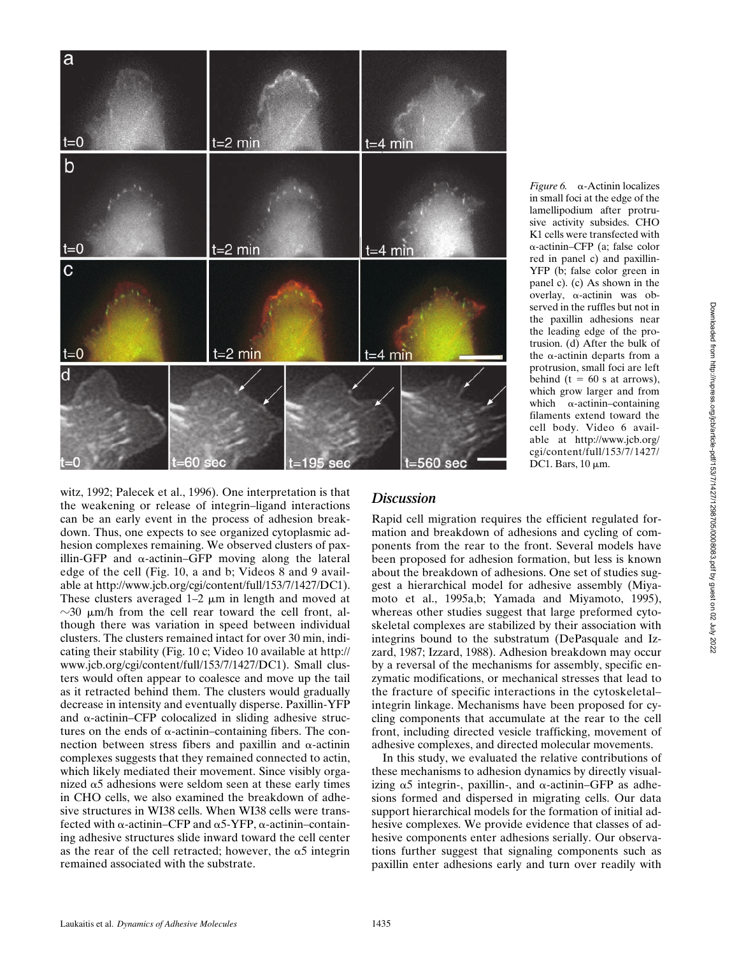

*Figure 6.*  $\alpha$ -Actinin localizes in small foci at the edge of the lamellipodium after protrusive activity subsides. CHO K1 cells were transfected with --actinin–CFP (a; false color red in panel c) and paxillin-YFP (b; false color green in panel c). (c) As shown in the overlay,  $\alpha$ -actinin was observed in the ruffles but not in the paxillin adhesions near the leading edge of the protrusion. (d) After the bulk of the  $\alpha$ -actinin departs from a protrusion, small foci are left behind ( $t = 60$  s at arrows), which grow larger and from which  $\alpha$ -actinin–containing filaments extend toward the cell body. Video 6 available at http://www.jcb.org/ cgi/content/full/153/7/1427/ DC1. Bars,  $10 \mu m$ .

witz, 1992; Palecek et al., 1996). One interpretation is that the weakening or release of integrin–ligand interactions can be an early event in the process of adhesion breakdown. Thus, one expects to see organized cytoplasmic adhesion complexes remaining. We observed clusters of paxillin-GFP and  $\alpha$ -actinin–GFP moving along the lateral edge of the cell (Fig. 10, a and b; Videos 8 and 9 available at http://www.jcb.org/cgi/content/full/153/7/1427/DC1). These clusters averaged  $1-2 \mu m$  in length and moved at  $\sim$ 30  $\mu$ m/h from the cell rear toward the cell front, although there was variation in speed between individual clusters. The clusters remained intact for over 30 min, indicating their stability (Fig. 10 c; Video 10 available at http:// www.jcb.org/cgi/content/full/153/7/1427/DC1). Small clusters would often appear to coalesce and move up the tail as it retracted behind them. The clusters would gradually decrease in intensity and eventually disperse. Paxillin-YFP and  $\alpha$ -actinin–CFP colocalized in sliding adhesive structures on the ends of  $\alpha$ -actinin–containing fibers. The connection between stress fibers and paxillin and  $\alpha$ -actinin complexes suggests that they remained connected to actin, which likely mediated their movement. Since visibly organized  $\alpha$ 5 adhesions were seldom seen at these early times in CHO cells, we also examined the breakdown of adhesive structures in WI38 cells. When WI38 cells were transfected with  $\alpha$ -actinin–CFP and  $\alpha$ 5-YFP,  $\alpha$ -actinin–containing adhesive structures slide inward toward the cell center as the rear of the cell retracted; however, the  $\alpha$ 5 integrin remained associated with the substrate.

## *Discussion*

Rapid cell migration requires the efficient regulated formation and breakdown of adhesions and cycling of components from the rear to the front. Several models have been proposed for adhesion formation, but less is known about the breakdown of adhesions. One set of studies suggest a hierarchical model for adhesive assembly (Miyamoto et al., 1995a,b; Yamada and Miyamoto, 1995), whereas other studies suggest that large preformed cytoskeletal complexes are stabilized by their association with integrins bound to the substratum (DePasquale and Izzard, 1987; Izzard, 1988). Adhesion breakdown may occur by a reversal of the mechanisms for assembly, specific enzymatic modifications, or mechanical stresses that lead to the fracture of specific interactions in the cytoskeletal– integrin linkage. Mechanisms have been proposed for cycling components that accumulate at the rear to the cell front, including directed vesicle trafficking, movement of adhesive complexes, and directed molecular movements.

In this study, we evaluated the relative contributions of these mechanisms to adhesion dynamics by directly visualizing  $\alpha$ 5 integrin-, paxillin-, and  $\alpha$ -actinin–GFP as adhesions formed and dispersed in migrating cells. Our data support hierarchical models for the formation of initial adhesive complexes. We provide evidence that classes of adhesive components enter adhesions serially. Our observations further suggest that signaling components such as paxillin enter adhesions early and turn over readily with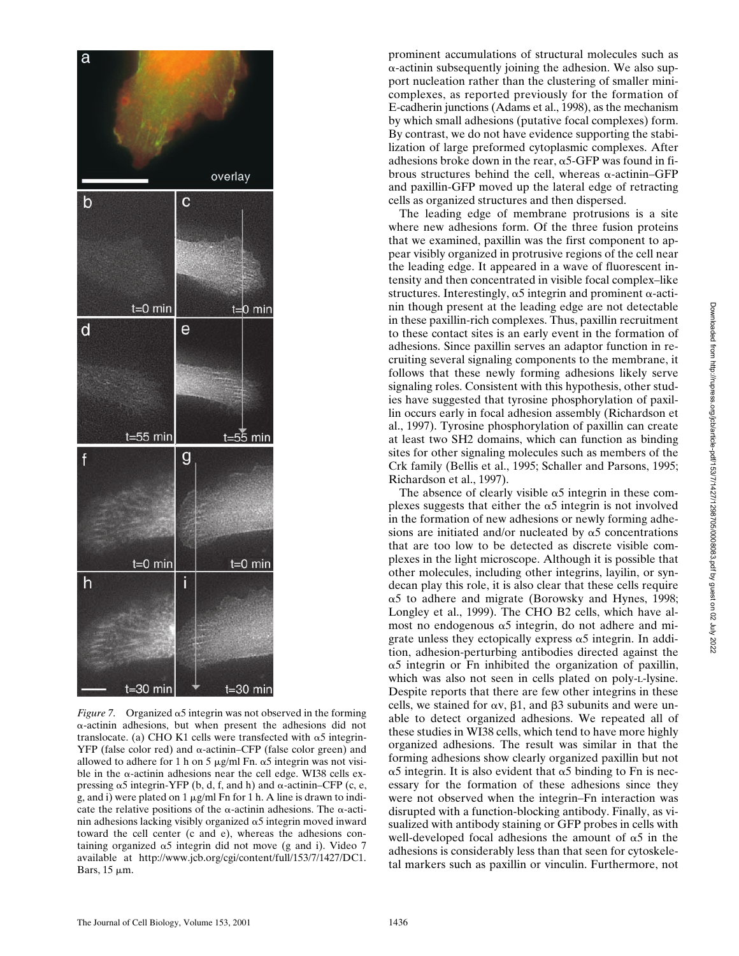

*Figure 7.* Organized  $\alpha$ 5 integrin was not observed in the forming --actinin adhesions, but when present the adhesions did not translocate. (a) CHO K1 cells were transfected with  $\alpha$ 5 integrin- $YFP$  (false color red) and  $\alpha$ -actinin–CFP (false color green) and allowed to adhere for 1 h on 5  $\mu$ g/ml Fn.  $\alpha$ 5 integrin was not visible in the  $\alpha$ -actinin adhesions near the cell edge. WI38 cells expressing  $\alpha$ 5 integrin-YFP (b, d, f, and h) and  $\alpha$ -actinin–CFP (c, e, g, and i) were plated on  $1 \mu g/ml$  Fn for  $1 \text{ h}$ . A line is drawn to indicate the relative positions of the  $\alpha$ -actinin adhesions. The  $\alpha$ -actinin adhesions lacking visibly organized  $\alpha$ 5 integrin moved inward toward the cell center (c and e), whereas the adhesions containing organized  $\alpha$ 5 integrin did not move (g and i). Video 7 available at http://www.jcb.org/cgi/content/full/153/7/1427/DC1. Bars,  $15 \mu m$ .

prominent accumulations of structural molecules such as --actinin subsequently joining the adhesion. We also support nucleation rather than the clustering of smaller minicomplexes, as reported previously for the formation of E-cadherin junctions (Adams et al., 1998), as the mechanism by which small adhesions (putative focal complexes) form. By contrast, we do not have evidence supporting the stabilization of large preformed cytoplasmic complexes. After adhesions broke down in the rear,  $\alpha$ 5-GFP was found in fibrous structures behind the cell, whereas  $\alpha$ -actinin-GFP and paxillin-GFP moved up the lateral edge of retracting cells as organized structures and then dispersed.

The leading edge of membrane protrusions is a site where new adhesions form. Of the three fusion proteins that we examined, paxillin was the first component to appear visibly organized in protrusive regions of the cell near the leading edge. It appeared in a wave of fluorescent intensity and then concentrated in visible focal complex–like structures. Interestingly,  $\alpha$ 5 integrin and prominent  $\alpha$ -actinin though present at the leading edge are not detectable in these paxillin-rich complexes. Thus, paxillin recruitment to these contact sites is an early event in the formation of adhesions. Since paxillin serves an adaptor function in recruiting several signaling components to the membrane, it follows that these newly forming adhesions likely serve signaling roles. Consistent with this hypothesis, other studies have suggested that tyrosine phosphorylation of paxillin occurs early in focal adhesion assembly (Richardson et al., 1997). Tyrosine phosphorylation of paxillin can create at least two SH2 domains, which can function as binding sites for other signaling molecules such as members of the Crk family (Bellis et al., 1995; Schaller and Parsons, 1995; Richardson et al., 1997).

The absence of clearly visible  $\alpha$ 5 integrin in these complexes suggests that either the  $\alpha$ 5 integrin is not involved in the formation of new adhesions or newly forming adhesions are initiated and/or nucleated by  $\alpha$ 5 concentrations that are too low to be detected as discrete visible complexes in the light microscope. Although it is possible that other molecules, including other integrins, layilin, or syndecan play this role, it is also clear that these cells require  $\alpha$ 5 to adhere and migrate (Borowsky and Hynes, 1998; Longley et al., 1999). The CHO B2 cells, which have almost no endogenous  $\alpha$ 5 integrin, do not adhere and migrate unless they ectopically express  $\alpha$ 5 integrin. In addition, adhesion-perturbing antibodies directed against the  $\alpha$ 5 integrin or Fn inhibited the organization of paxillin, which was also not seen in cells plated on poly-L-lysine. Despite reports that there are few other integrins in these cells, we stained for  $\alpha v$ ,  $\beta 1$ , and  $\beta 3$  subunits and were unable to detect organized adhesions. We repeated all of these studies in WI38 cells, which tend to have more highly organized adhesions. The result was similar in that the forming adhesions show clearly organized paxillin but not  $\alpha$ 5 integrin. It is also evident that  $\alpha$ 5 binding to Fn is necessary for the formation of these adhesions since they were not observed when the integrin–Fn interaction was disrupted with a function-blocking antibody. Finally, as visualized with antibody staining or GFP probes in cells with well-developed focal adhesions the amount of  $\alpha$ 5 in the adhesions is considerably less than that seen for cytoskeletal markers such as paxillin or vinculin. Furthermore, not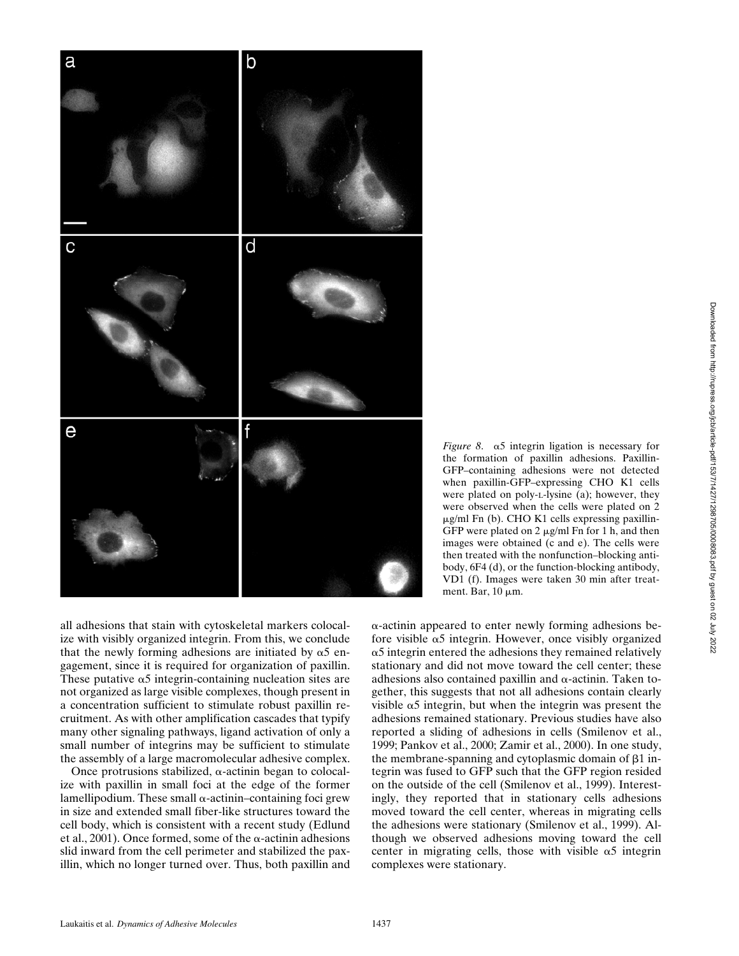

*Figure 8.*  $\alpha$ 5 integrin ligation is necessary for the formation of paxillin adhesions. Paxillin-GFP–containing adhesions were not detected when paxillin-GFP–expressing CHO K1 cells were plated on poly-L-lysine (a); however, they were observed when the cells were plated on 2 g/ml Fn (b). CHO K1 cells expressing paxillin-GFP were plated on  $2 \mu g/ml$  Fn for 1 h, and then images were obtained (c and e). The cells were then treated with the nonfunction–blocking antibody, 6F4 (d), or the function-blocking antibody, VD1 (f). Images were taken 30 min after treatment. Bar,  $10 \mu m$ .

all adhesions that stain with cytoskeletal markers colocalize with visibly organized integrin. From this, we conclude that the newly forming adhesions are initiated by  $\alpha$ 5 engagement, since it is required for organization of paxillin. These putative  $\alpha$ 5 integrin-containing nucleation sites are not organized as large visible complexes, though present in a concentration sufficient to stimulate robust paxillin recruitment. As with other amplification cascades that typify many other signaling pathways, ligand activation of only a small number of integrins may be sufficient to stimulate the assembly of a large macromolecular adhesive complex.

Once protrusions stabilized,  $\alpha$ -actinin began to colocalize with paxillin in small foci at the edge of the former lamellipodium. These small  $\alpha$ -actinin–containing foci grew in size and extended small fiber-like structures toward the cell body, which is consistent with a recent study (Edlund et al., 2001). Once formed, some of the  $\alpha$ -actinin adhesions slid inward from the cell perimeter and stabilized the paxillin, which no longer turned over. Thus, both paxillin and

--actinin appeared to enter newly forming adhesions before visible  $\alpha$ 5 integrin. However, once visibly organized  $\alpha$ 5 integrin entered the adhesions they remained relatively stationary and did not move toward the cell center; these adhesions also contained paxillin and  $\alpha$ -actinin. Taken together, this suggests that not all adhesions contain clearly visible  $\alpha$ 5 integrin, but when the integrin was present the adhesions remained stationary. Previous studies have also reported a sliding of adhesions in cells (Smilenov et al., 1999; Pankov et al., 2000; Zamir et al., 2000). In one study, the membrane-spanning and cytoplasmic domain of  $\beta$ 1 integrin was fused to GFP such that the GFP region resided on the outside of the cell (Smilenov et al., 1999). Interestingly, they reported that in stationary cells adhesions moved toward the cell center, whereas in migrating cells the adhesions were stationary (Smilenov et al., 1999). Although we observed adhesions moving toward the cell center in migrating cells, those with visible  $\alpha$ 5 integrin complexes were stationary.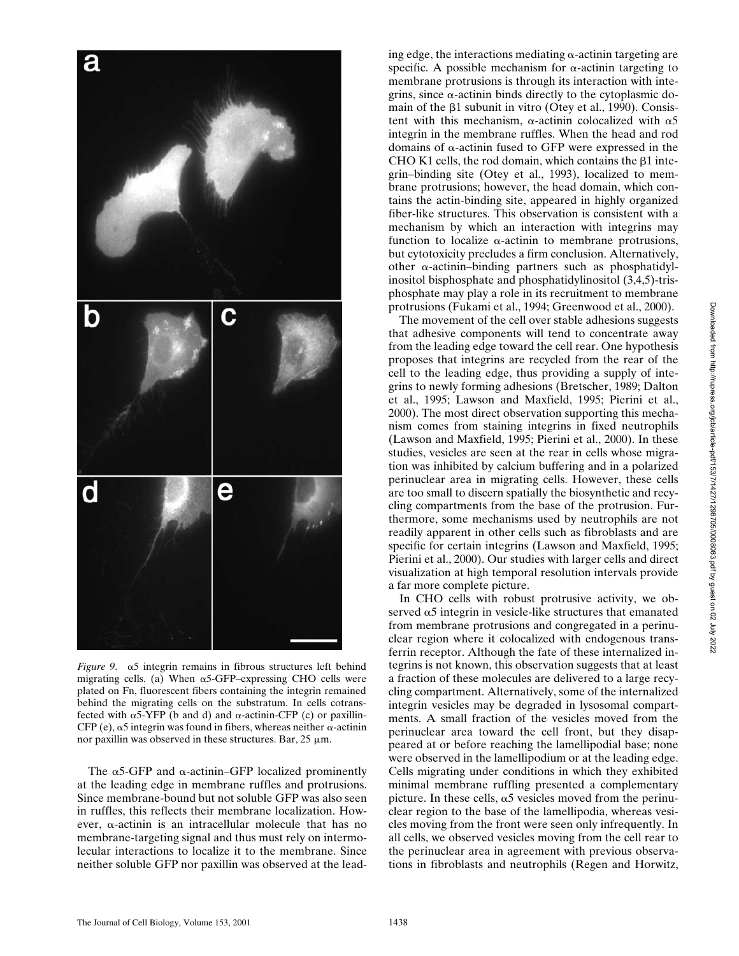

*Figure* 9.  $\alpha$ 5 integrin remains in fibrous structures left behind migrating cells. (a) When  $\alpha$ 5-GFP–expressing CHO cells were plated on Fn, fluorescent fibers containing the integrin remained behind the migrating cells on the substratum. In cells cotransfected with  $\alpha$ 5-YFP (b and d) and  $\alpha$ -actinin-CFP (c) or paxillin-CFP (e),  $\alpha$ 5 integrin was found in fibers, whereas neither  $\alpha$ -actinin nor paxillin was observed in these structures. Bar,  $25 \mu m$ .

The  $\alpha$ 5-GFP and  $\alpha$ -actinin–GFP localized prominently at the leading edge in membrane ruffles and protrusions. Since membrane-bound but not soluble GFP was also seen in ruffles, this reflects their membrane localization. However,  $\alpha$ -actinin is an intracellular molecule that has no membrane-targeting signal and thus must rely on intermolecular interactions to localize it to the membrane. Since neither soluble GFP nor paxillin was observed at the lead-

ing edge, the interactions mediating  $\alpha$ -actinin targeting are specific. A possible mechanism for  $\alpha$ -actinin targeting to membrane protrusions is through its interaction with integrins, since  $\alpha$ -actinin binds directly to the cytoplasmic domain of the  $\beta$ 1 subunit in vitro (Otey et al., 1990). Consistent with this mechanism,  $\alpha$ -actinin colocalized with  $\alpha$ 5 integrin in the membrane ruffles. When the head and rod domains of  $\alpha$ -actinin fused to GFP were expressed in the CHO K1 cells, the rod domain, which contains the  $\beta$ 1 integrin–binding site (Otey et al., 1993), localized to membrane protrusions; however, the head domain, which contains the actin-binding site, appeared in highly organized fiber-like structures. This observation is consistent with a mechanism by which an interaction with integrins may function to localize  $\alpha$ -actinin to membrane protrusions, but cytotoxicity precludes a firm conclusion. Alternatively, other  $\alpha$ -actinin–binding partners such as phosphatidylinositol bisphosphate and phosphatidylinositol (3,4,5)-trisphosphate may play a role in its recruitment to membrane protrusions (Fukami et al., 1994; Greenwood et al., 2000).

The movement of the cell over stable adhesions suggests that adhesive components will tend to concentrate away from the leading edge toward the cell rear. One hypothesis proposes that integrins are recycled from the rear of the cell to the leading edge, thus providing a supply of integrins to newly forming adhesions (Bretscher, 1989; Dalton et al., 1995; Lawson and Maxfield, 1995; Pierini et al., 2000). The most direct observation supporting this mechanism comes from staining integrins in fixed neutrophils (Lawson and Maxfield, 1995; Pierini et al., 2000). In these studies, vesicles are seen at the rear in cells whose migration was inhibited by calcium buffering and in a polarized perinuclear area in migrating cells. However, these cells are too small to discern spatially the biosynthetic and recycling compartments from the base of the protrusion. Furthermore, some mechanisms used by neutrophils are not readily apparent in other cells such as fibroblasts and are specific for certain integrins (Lawson and Maxfield, 1995; Pierini et al., 2000). Our studies with larger cells and direct visualization at high temporal resolution intervals provide a far more complete picture.

In CHO cells with robust protrusive activity, we observed  $\alpha$ 5 integrin in vesicle-like structures that emanated from membrane protrusions and congregated in a perinuclear region where it colocalized with endogenous transferrin receptor. Although the fate of these internalized integrins is not known, this observation suggests that at least a fraction of these molecules are delivered to a large recycling compartment. Alternatively, some of the internalized integrin vesicles may be degraded in lysosomal compartments. A small fraction of the vesicles moved from the perinuclear area toward the cell front, but they disappeared at or before reaching the lamellipodial base; none were observed in the lamellipodium or at the leading edge. Cells migrating under conditions in which they exhibited minimal membrane ruffling presented a complementary picture. In these cells,  $\alpha$ 5 vesicles moved from the perinuclear region to the base of the lamellipodia, whereas vesicles moving from the front were seen only infrequently. In all cells, we observed vesicles moving from the cell rear to the perinuclear area in agreement with previous observations in fibroblasts and neutrophils (Regen and Horwitz,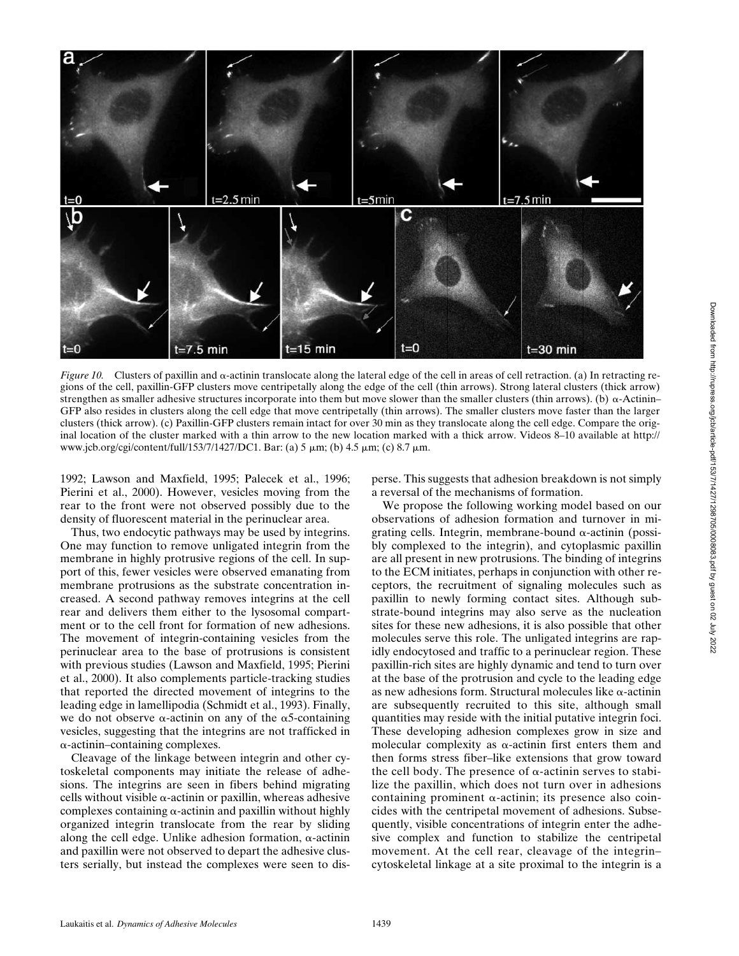

*Figure 10.* Clusters of paxillin and  $\alpha$ -actinin translocate along the lateral edge of the cell in areas of cell retraction. (a) In retracting regions of the cell, paxillin-GFP clusters move centripetally along the edge of the cell (thin arrows). Strong lateral clusters (thick arrow) strengthen as smaller adhesive structures incorporate into them but move slower than the smaller clusters (thin arrows). (b)  $\alpha$ -Actinin– GFP also resides in clusters along the cell edge that move centripetally (thin arrows). The smaller clusters move faster than the larger clusters (thick arrow). (c) Paxillin-GFP clusters remain intact for over 30 min as they translocate along the cell edge. Compare the original location of the cluster marked with a thin arrow to the new location marked with a thick arrow. Videos 8–10 available at http:// www.jcb.org/cgi/content/full/153/7/1427/DC1. Bar: (a) 5  $\mu$ m; (b) 4.5  $\mu$ m; (c) 8.7  $\mu$ m.

1992; Lawson and Maxfield, 1995; Palecek et al., 1996; Pierini et al., 2000). However, vesicles moving from the rear to the front were not observed possibly due to the density of fluorescent material in the perinuclear area.

Thus, two endocytic pathways may be used by integrins. One may function to remove unligated integrin from the membrane in highly protrusive regions of the cell. In support of this, fewer vesicles were observed emanating from membrane protrusions as the substrate concentration increased. A second pathway removes integrins at the cell rear and delivers them either to the lysosomal compartment or to the cell front for formation of new adhesions. The movement of integrin-containing vesicles from the perinuclear area to the base of protrusions is consistent with previous studies (Lawson and Maxfield, 1995; Pierini et al., 2000). It also complements particle-tracking studies that reported the directed movement of integrins to the leading edge in lamellipodia (Schmidt et al., 1993). Finally, we do not observe  $\alpha$ -actinin on any of the  $\alpha$ 5-containing vesicles, suggesting that the integrins are not trafficked in --actinin–containing complexes.

Cleavage of the linkage between integrin and other cytoskeletal components may initiate the release of adhesions. The integrins are seen in fibers behind migrating cells without visible  $\alpha$ -actinin or paxillin, whereas adhesive complexes containing  $\alpha$ -actinin and paxillin without highly organized integrin translocate from the rear by sliding along the cell edge. Unlike adhesion formation,  $\alpha$ -actinin and paxillin were not observed to depart the adhesive clusters serially, but instead the complexes were seen to disperse. This suggests that adhesion breakdown is not simply a reversal of the mechanisms of formation.

We propose the following working model based on our observations of adhesion formation and turnover in migrating cells. Integrin, membrane-bound  $\alpha$ -actinin (possibly complexed to the integrin), and cytoplasmic paxillin are all present in new protrusions. The binding of integrins to the ECM initiates, perhaps in conjunction with other receptors, the recruitment of signaling molecules such as paxillin to newly forming contact sites. Although substrate-bound integrins may also serve as the nucleation sites for these new adhesions, it is also possible that other molecules serve this role. The unligated integrins are rapidly endocytosed and traffic to a perinuclear region. These paxillin-rich sites are highly dynamic and tend to turn over at the base of the protrusion and cycle to the leading edge as new adhesions form. Structural molecules like  $\alpha$ -actinin are subsequently recruited to this site, although small quantities may reside with the initial putative integrin foci. These developing adhesion complexes grow in size and molecular complexity as  $\alpha$ -actinin first enters them and then forms stress fiber–like extensions that grow toward the cell body. The presence of  $\alpha$ -actinin serves to stabilize the paxillin, which does not turn over in adhesions containing prominent  $\alpha$ -actinin; its presence also coincides with the centripetal movement of adhesions. Subsequently, visible concentrations of integrin enter the adhesive complex and function to stabilize the centripetal movement. At the cell rear, cleavage of the integrin– cytoskeletal linkage at a site proximal to the integrin is a